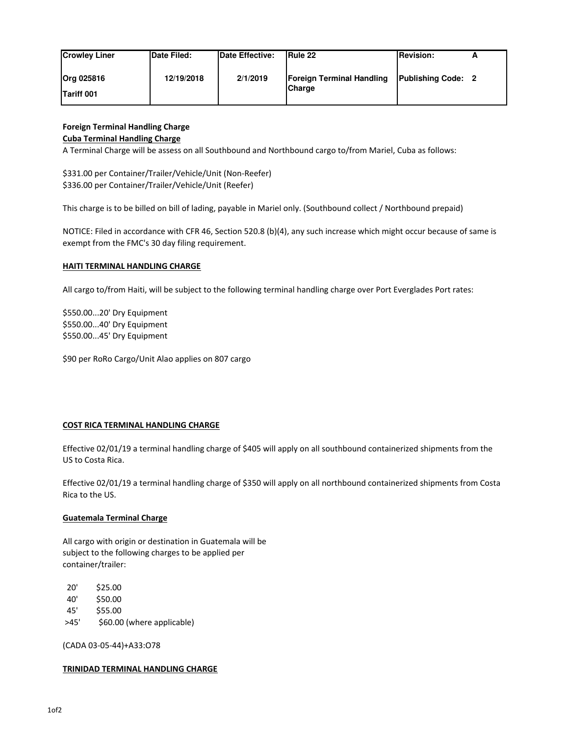| <b>Crowley Liner</b>                   | <b>Date Filed:</b> | <b>IDate Effective:</b> | <b>IRule 22</b>                                   | <b>Revision:</b>          | <u>_</u> |
|----------------------------------------|--------------------|-------------------------|---------------------------------------------------|---------------------------|----------|
| <b>Org 025816</b><br><b>Tariff 001</b> | 12/19/2018         | 2/1/2019                | <b>Foreign Terminal Handling</b><br><b>Charge</b> | <b>Publishing Code: 2</b> |          |

# **Foreign Terminal Handling Charge**

### **Cuba Terminal Handling Charge**

A Terminal Charge will be assess on all Southbound and Northbound cargo to/from Mariel, Cuba as follows:

\$331.00 per Container/Trailer/Vehicle/Unit (Non-Reefer) \$336.00 per Container/Trailer/Vehicle/Unit (Reefer)

This charge is to be billed on bill of lading, payable in Mariel only. (Southbound collect / Northbound prepaid)

NOTICE: Filed in accordance with CFR 46, Section 520.8 (b)(4), any such increase which might occur because of same is exempt from the FMC's 30 day filing requirement.

#### **HAITI TERMINAL HANDLING CHARGE**

All cargo to/from Haiti, will be subject to the following terminal handling charge over Port Everglades Port rates:

\$550.00...20' Dry Equipment \$550.00...40' Dry Equipment \$550.00...45' Dry Equipment

\$90 per RoRo Cargo/Unit Alao applies on 807 cargo

## **COST RICA TERMINAL HANDLING CHARGE**

Effective 02/01/19 a terminal handling charge of \$405 will apply on all southbound containerized shipments from the US to Costa Rica.

Effective 02/01/19 a terminal handling charge of \$350 will apply on all northbound containerized shipments from Costa Rica to the US.

## **Guatemala Terminal Charge**

All cargo with origin or destination in Guatemala will be subject to the following charges to be applied per container/trailer:

20' \$25.00

40' \$50.00

- 45' \$55.00
- >45' \$60.00 (where applicable)

(CADA 03-05-44)+A33:O78

#### **TRINIDAD TERMINAL HANDLING CHARGE**